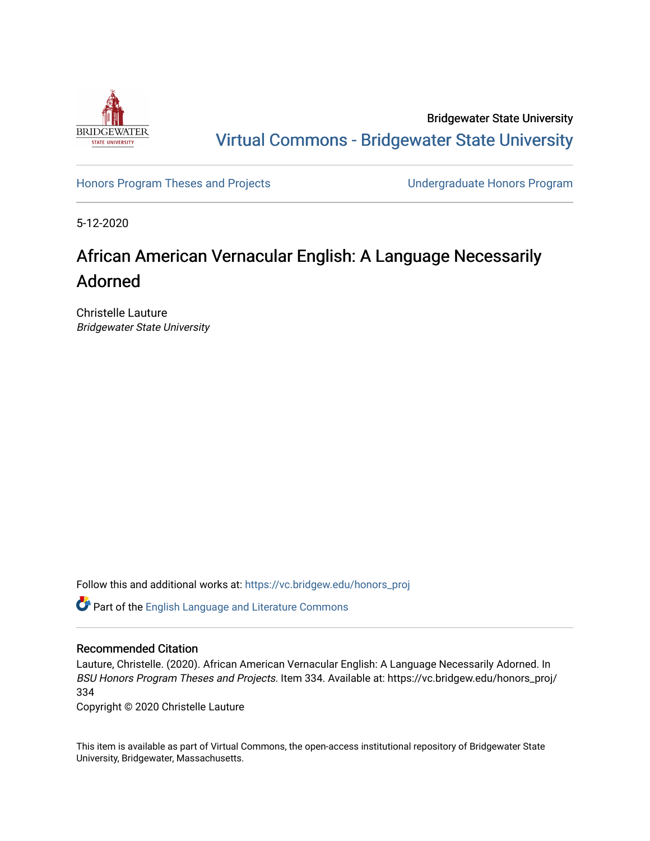

Bridgewater State University [Virtual Commons - Bridgewater State University](https://vc.bridgew.edu/) 

[Honors Program Theses and Projects](https://vc.bridgew.edu/honors_proj) [Undergraduate Honors Program](https://vc.bridgew.edu/honors) 

5-12-2020

# African American Vernacular English: A Language Necessarily Adorned

Christelle Lauture Bridgewater State University

Follow this and additional works at: [https://vc.bridgew.edu/honors\\_proj](https://vc.bridgew.edu/honors_proj?utm_source=vc.bridgew.edu%2Fhonors_proj%2F334&utm_medium=PDF&utm_campaign=PDFCoverPages)

Part of the [English Language and Literature Commons](http://network.bepress.com/hgg/discipline/455?utm_source=vc.bridgew.edu%2Fhonors_proj%2F334&utm_medium=PDF&utm_campaign=PDFCoverPages)

## Recommended Citation

Lauture, Christelle. (2020). African American Vernacular English: A Language Necessarily Adorned. In BSU Honors Program Theses and Projects. Item 334. Available at: https://vc.bridgew.edu/honors\_proj/ 334

Copyright © 2020 Christelle Lauture

This item is available as part of Virtual Commons, the open-access institutional repository of Bridgewater State University, Bridgewater, Massachusetts.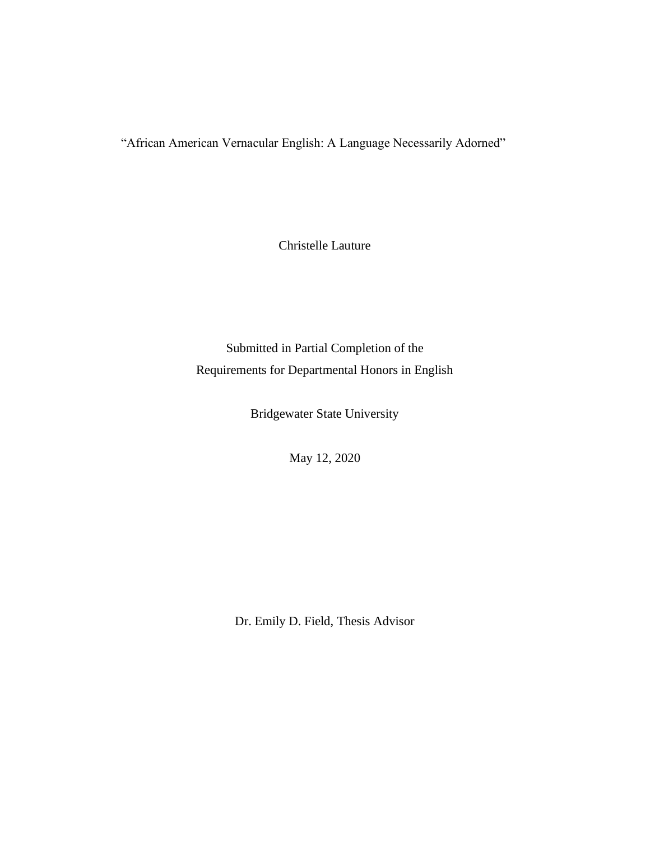"African American Vernacular English: A Language Necessarily Adorned"

Christelle Lauture

Submitted in Partial Completion of the Requirements for Departmental Honors in English

Bridgewater State University

May 12, 2020

Dr. Emily D. Field, Thesis Advisor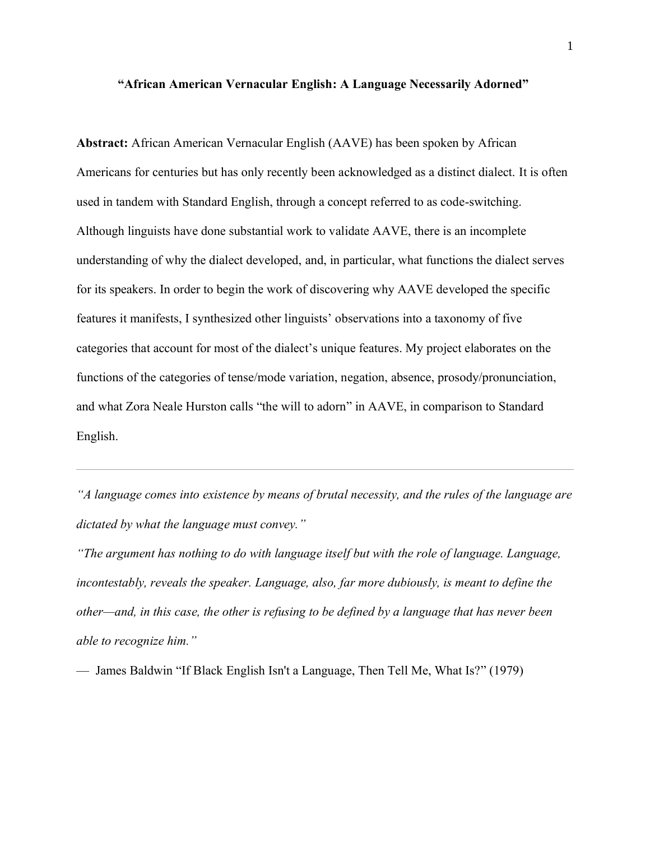#### **"African American Vernacular English: A Language Necessarily Adorned"**

**Abstract:** African American Vernacular English (AAVE) has been spoken by African Americans for centuries but has only recently been acknowledged as a distinct dialect. It is often used in tandem with Standard English, through a concept referred to as code-switching. Although linguists have done substantial work to validate AAVE, there is an incomplete understanding of why the dialect developed, and, in particular, what functions the dialect serves for its speakers. In order to begin the work of discovering why AAVE developed the specific features it manifests, I synthesized other linguists' observations into a taxonomy of five categories that account for most of the dialect's unique features. My project elaborates on the functions of the categories of tense/mode variation, negation, absence, prosody/pronunciation, and what Zora Neale Hurston calls "the will to adorn" in AAVE, in comparison to Standard English.

*"A language comes into existence by means of brutal necessity, and the rules of the language are dictated by what the language must convey."*

*"The argument has nothing to do with language itself but with the role of language. Language, incontestably, reveals the speaker. Language, also, far more dubiously, is meant to define the other—and, in this case, the other is refusing to be defined by a language that has never been able to recognize him."*

— James Baldwin "If Black English Isn't a Language, Then Tell Me, What Is?" (1979)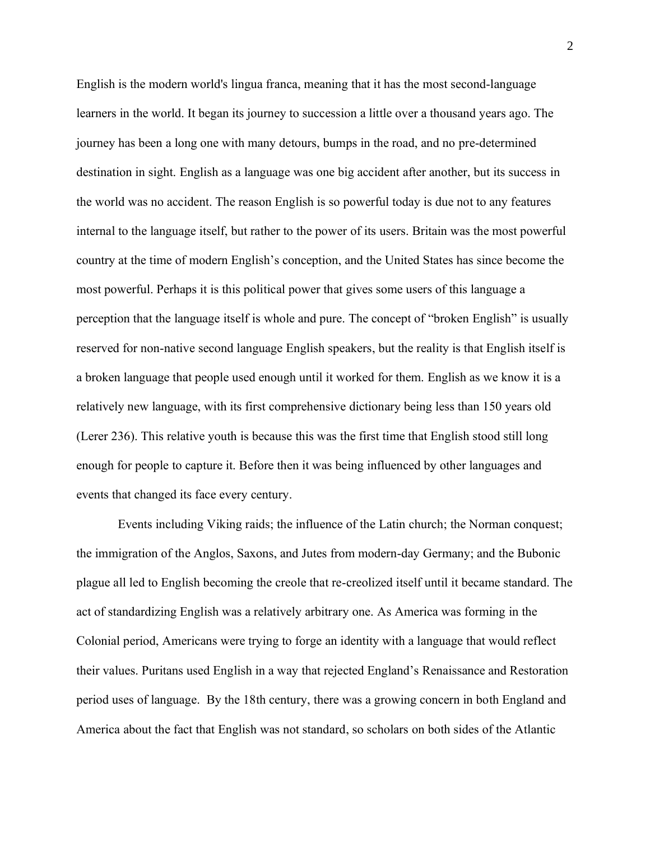English is the modern world's lingua franca, meaning that it has the most second-language learners in the world. It began its journey to succession a little over a thousand years ago. The journey has been a long one with many detours, bumps in the road, and no pre-determined destination in sight. English as a language was one big accident after another, but its success in the world was no accident. The reason English is so powerful today is due not to any features internal to the language itself, but rather to the power of its users. Britain was the most powerful country at the time of modern English's conception, and the United States has since become the most powerful. Perhaps it is this political power that gives some users of this language a perception that the language itself is whole and pure. The concept of "broken English" is usually reserved for non-native second language English speakers, but the reality is that English itself is a broken language that people used enough until it worked for them. English as we know it is a relatively new language, with its first comprehensive dictionary being less than 150 years old (Lerer 236). This relative youth is because this was the first time that English stood still long enough for people to capture it. Before then it was being influenced by other languages and events that changed its face every century.

Events including Viking raids; the influence of the Latin church; the Norman conquest; the immigration of the Anglos, Saxons, and Jutes from modern-day Germany; and the Bubonic plague all led to English becoming the creole that re-creolized itself until it became standard. The act of standardizing English was a relatively arbitrary one. As America was forming in the Colonial period, Americans were trying to forge an identity with a language that would reflect their values. Puritans used English in a way that rejected England's Renaissance and Restoration period uses of language. By the 18th century, there was a growing concern in both England and America about the fact that English was not standard, so scholars on both sides of the Atlantic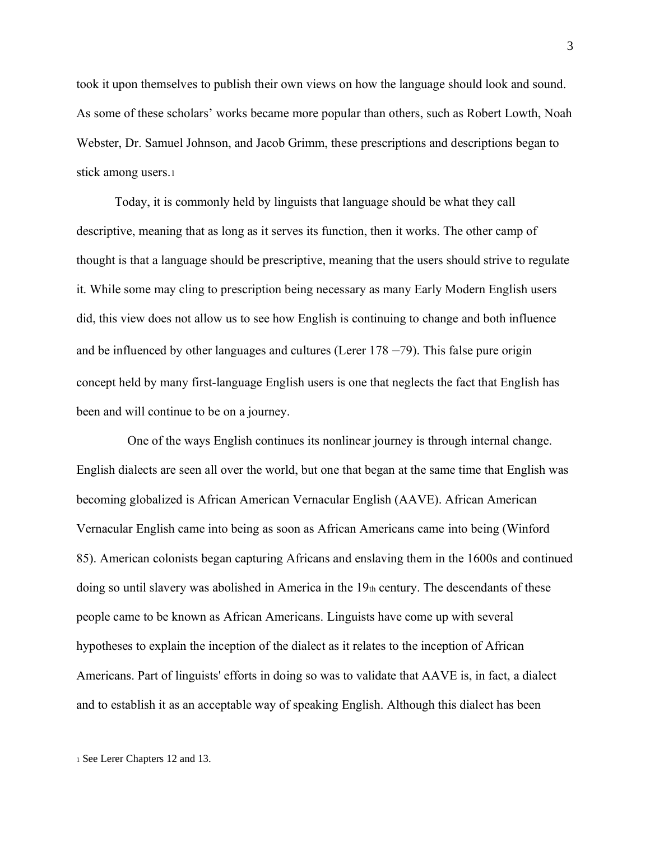took it upon themselves to publish their own views on how the language should look and sound. As some of these scholars' works became more popular than others, such as Robert Lowth, Noah Webster, Dr. Samuel Johnson, and Jacob Grimm, these prescriptions and descriptions began to stick among users.<sup>1</sup>

Today, it is commonly held by linguists that language should be what they call descriptive, meaning that as long as it serves its function, then it works. The other camp of thought is that a language should be prescriptive, meaning that the users should strive to regulate it. While some may cling to prescription being necessary as many Early Modern English users did, this view does not allow us to see how English is continuing to change and both influence and be influenced by other languages and cultures (Lerer  $178 - 79$ ). This false pure origin concept held by many first-language English users is one that neglects the fact that English has been and will continue to be on a journey.

 One of the ways English continues its nonlinear journey is through internal change. English dialects are seen all over the world, but one that began at the same time that English was becoming globalized is African American Vernacular English (AAVE). African American Vernacular English came into being as soon as African Americans came into being (Winford 85). American colonists began capturing Africans and enslaving them in the 1600s and continued doing so until slavery was abolished in America in the  $19<sub>th</sub>$  century. The descendants of these people came to be known as African Americans. Linguists have come up with several hypotheses to explain the inception of the dialect as it relates to the inception of African Americans. Part of linguists' efforts in doing so was to validate that AAVE is, in fact, a dialect and to establish it as an acceptable way of speaking English. Although this dialect has been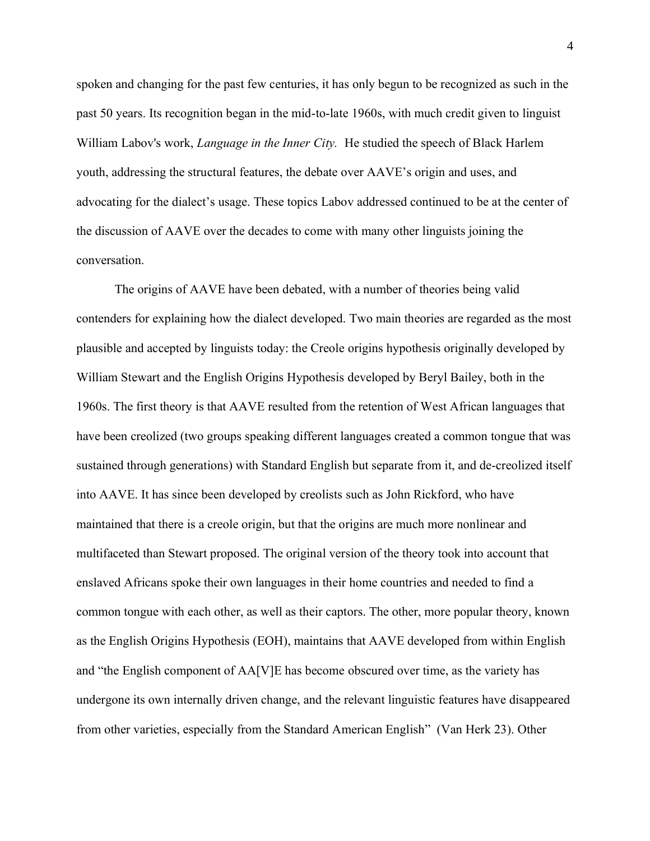spoken and changing for the past few centuries, it has only begun to be recognized as such in the past 50 years. Its recognition began in the mid-to-late 1960s, with much credit given to linguist William Labov's work, *Language in the Inner City.* He studied the speech of Black Harlem youth, addressing the structural features, the debate over AAVE's origin and uses, and advocating for the dialect's usage. These topics Labov addressed continued to be at the center of the discussion of AAVE over the decades to come with many other linguists joining the conversation.

The origins of AAVE have been debated, with a number of theories being valid contenders for explaining how the dialect developed. Two main theories are regarded as the most plausible and accepted by linguists today: the Creole origins hypothesis originally developed by William Stewart and the English Origins Hypothesis developed by Beryl Bailey, both in the 1960s. The first theory is that AAVE resulted from the retention of West African languages that have been creolized (two groups speaking different languages created a common tongue that was sustained through generations) with Standard English but separate from it, and de-creolized itself into AAVE. It has since been developed by creolists such as John Rickford, who have maintained that there is a creole origin, but that the origins are much more nonlinear and multifaceted than Stewart proposed. The original version of the theory took into account that enslaved Africans spoke their own languages in their home countries and needed to find a common tongue with each other, as well as their captors. The other, more popular theory, known as the English Origins Hypothesis (EOH), maintains that AAVE developed from within English and "the English component of AA[V]E has become obscured over time, as the variety has undergone its own internally driven change, and the relevant linguistic features have disappeared from other varieties, especially from the Standard American English" (Van Herk 23). Other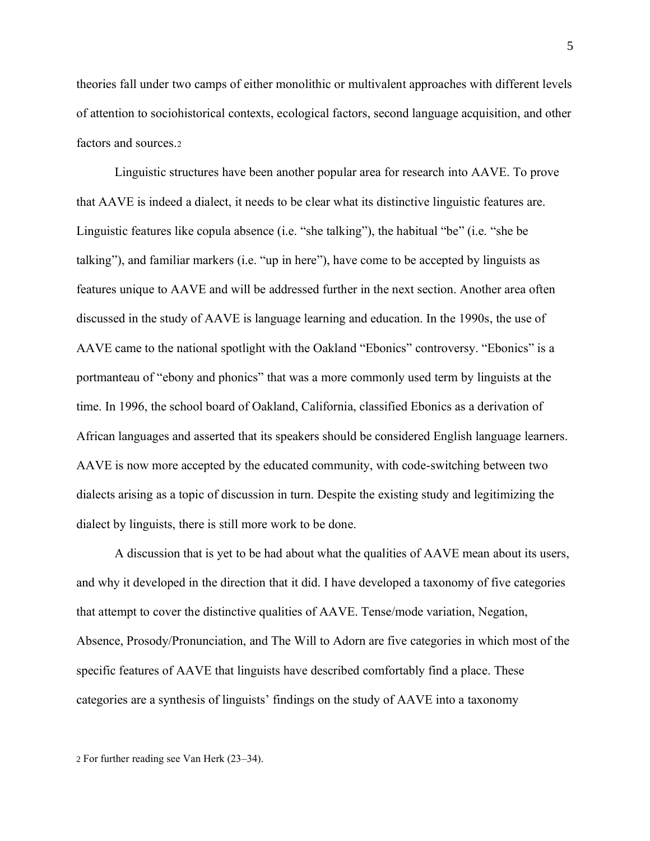theories fall under two camps of either monolithic or multivalent approaches with different levels of attention to sociohistorical contexts, ecological factors, second language acquisition, and other factors and sources.<sup>2</sup>

Linguistic structures have been another popular area for research into AAVE. To prove that AAVE is indeed a dialect, it needs to be clear what its distinctive linguistic features are. Linguistic features like copula absence (i.e. "she talking"), the habitual "be" (i.e. "she be talking"), and familiar markers (i.e. "up in here"), have come to be accepted by linguists as features unique to AAVE and will be addressed further in the next section. Another area often discussed in the study of AAVE is language learning and education. In the 1990s, the use of AAVE came to the national spotlight with the Oakland "Ebonics" controversy. "Ebonics" is a portmanteau of "ebony and phonics" that was a more commonly used term by linguists at the time. In 1996, the school board of Oakland, California, classified Ebonics as a derivation of African languages and asserted that its speakers should be considered English language learners. AAVE is now more accepted by the educated community, with code-switching between two dialects arising as a topic of discussion in turn. Despite the existing study and legitimizing the dialect by linguists, there is still more work to be done.

A discussion that is yet to be had about what the qualities of AAVE mean about its users, and why it developed in the direction that it did. I have developed a taxonomy of five categories that attempt to cover the distinctive qualities of AAVE. Tense/mode variation, Negation, Absence, Prosody/Pronunciation, and The Will to Adorn are five categories in which most of the specific features of AAVE that linguists have described comfortably find a place. These categories are a synthesis of linguists' findings on the study of AAVE into a taxonomy

<sup>2</sup> For further reading see Van Herk (23–34).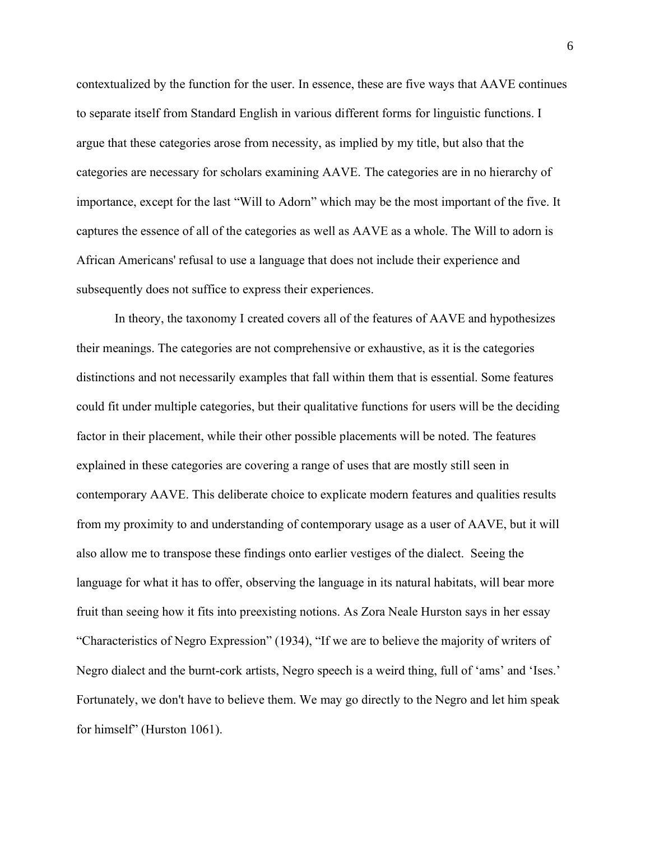contextualized by the function for the user. In essence, these are five ways that AAVE continues to separate itself from Standard English in various different forms for linguistic functions. I argue that these categories arose from necessity, as implied by my title, but also that the categories are necessary for scholars examining AAVE. The categories are in no hierarchy of importance, except for the last "Will to Adorn" which may be the most important of the five. It captures the essence of all of the categories as well as AAVE as a whole. The Will to adorn is African Americans' refusal to use a language that does not include their experience and subsequently does not suffice to express their experiences.

In theory, the taxonomy I created covers all of the features of AAVE and hypothesizes their meanings. The categories are not comprehensive or exhaustive, as it is the categories distinctions and not necessarily examples that fall within them that is essential. Some features could fit under multiple categories, but their qualitative functions for users will be the deciding factor in their placement, while their other possible placements will be noted. The features explained in these categories are covering a range of uses that are mostly still seen in contemporary AAVE. This deliberate choice to explicate modern features and qualities results from my proximity to and understanding of contemporary usage as a user of AAVE, but it will also allow me to transpose these findings onto earlier vestiges of the dialect. Seeing the language for what it has to offer, observing the language in its natural habitats, will bear more fruit than seeing how it fits into preexisting notions. As Zora Neale Hurston says in her essay "Characteristics of Negro Expression" (1934), "If we are to believe the majority of writers of Negro dialect and the burnt-cork artists, Negro speech is a weird thing, full of 'ams' and 'Ises.' Fortunately, we don't have to believe them. We may go directly to the Negro and let him speak for himself" (Hurston 1061).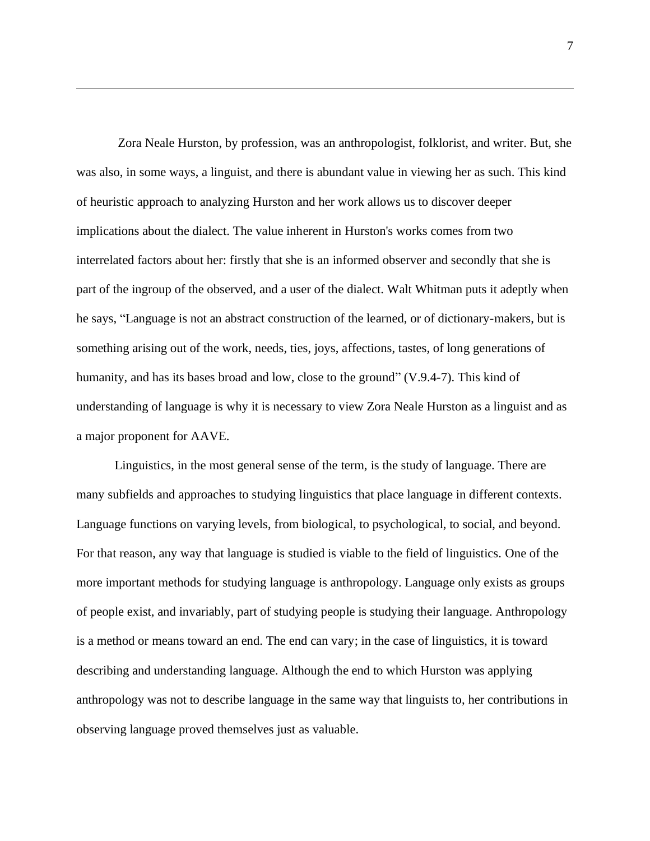Zora Neale Hurston, by profession, was an anthropologist, folklorist, and writer. But, she was also, in some ways, a linguist, and there is abundant value in viewing her as such. This kind of heuristic approach to analyzing Hurston and her work allows us to discover deeper implications about the dialect. The value inherent in Hurston's works comes from two interrelated factors about her: firstly that she is an informed observer and secondly that she is part of the ingroup of the observed, and a user of the dialect. Walt Whitman puts it adeptly when he says, "Language is not an abstract construction of the learned, or of dictionary-makers, but is something arising out of the work, needs, ties, joys, affections, tastes, of long generations of humanity, and has its bases broad and low, close to the ground" (V.9.4-7). This kind of understanding of language is why it is necessary to view Zora Neale Hurston as a linguist and as a major proponent for AAVE.

Linguistics, in the most general sense of the term, is the study of language. There are many subfields and approaches to studying linguistics that place language in different contexts. Language functions on varying levels, from biological, to psychological, to social, and beyond. For that reason, any way that language is studied is viable to the field of linguistics. One of the more important methods for studying language is anthropology. Language only exists as groups of people exist, and invariably, part of studying people is studying their language. Anthropology is a method or means toward an end. The end can vary; in the case of linguistics, it is toward describing and understanding language. Although the end to which Hurston was applying anthropology was not to describe language in the same way that linguists to, her contributions in observing language proved themselves just as valuable.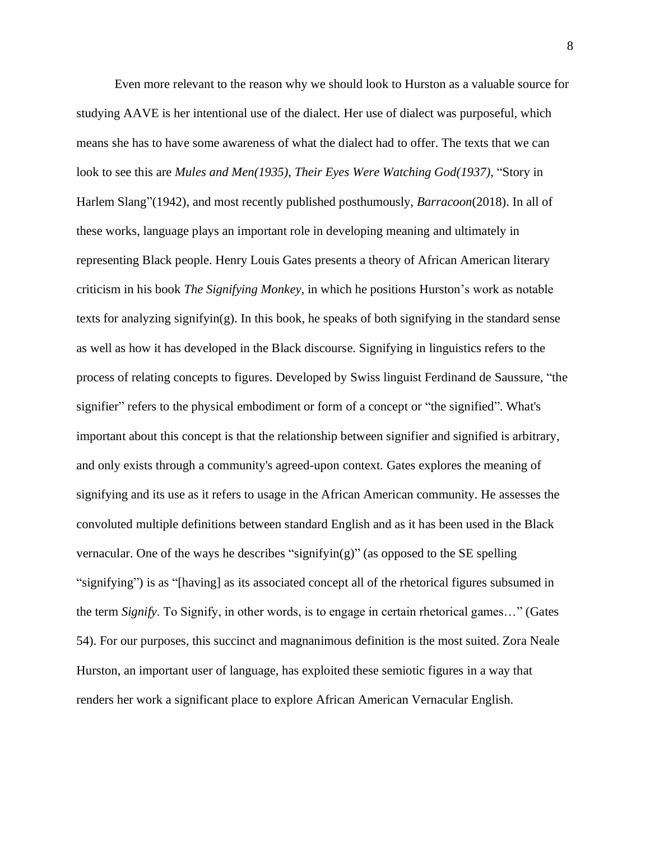Even more relevant to the reason why we should look to Hurston as a valuable source for studying AAVE is her intentional use of the dialect. Her use of dialect was purposeful, which means she has to have some awareness of what the dialect had to offer. The texts that we can look to see this are *Mules and Men(1935)*, *Their Eyes Were Watching God(1937)*, "Story in Harlem Slang"(1942), and most recently published posthumously, *Barracoon*(2018). In all of these works, language plays an important role in developing meaning and ultimately in representing Black people. Henry Louis Gates presents a theory of African American literary criticism in his book *The Signifying Monkey*, in which he positions Hurston's work as notable texts for analyzing signifyin(g). In this book, he speaks of both signifying in the standard sense as well as how it has developed in the Black discourse. Signifying in linguistics refers to the process of relating concepts to figures. Developed by Swiss linguist Ferdinand de Saussure, "the signifier" refers to the physical embodiment or form of a concept or "the signified". What's important about this concept is that the relationship between signifier and signified is arbitrary, and only exists through a community's agreed-upon context. Gates explores the meaning of signifying and its use as it refers to usage in the African American community. He assesses the convoluted multiple definitions between standard English and as it has been used in the Black vernacular. One of the ways he describes "signifyin(g)" (as opposed to the SE spelling "signifying") is as "[having] as its associated concept all of the rhetorical figures subsumed in the term *Signify*. To Signify, in other words, is to engage in certain rhetorical games…" (Gates 54). For our purposes, this succinct and magnanimous definition is the most suited. Zora Neale Hurston, an important user of language, has exploited these semiotic figures in a way that renders her work a significant place to explore African American Vernacular English.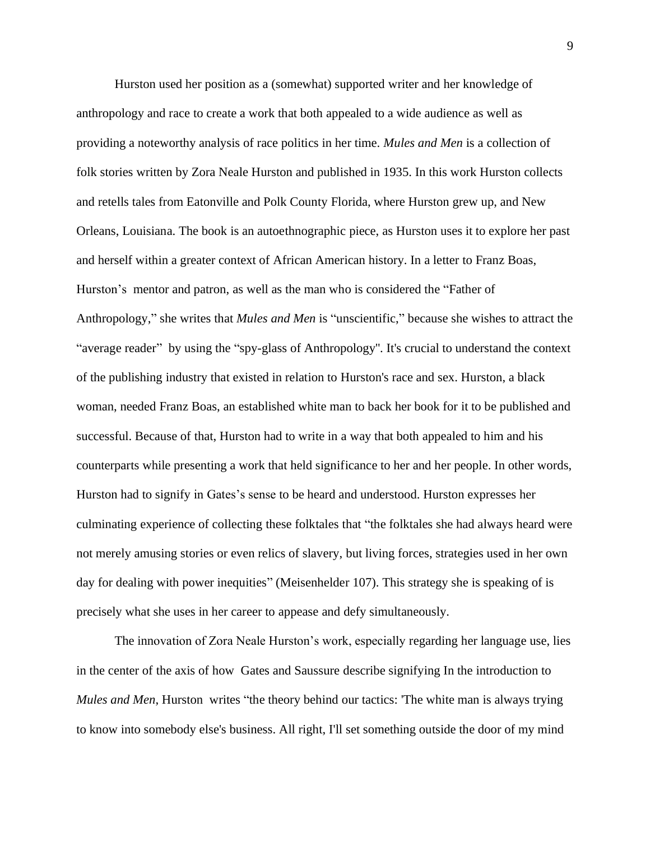Hurston used her position as a (somewhat) supported writer and her knowledge of anthropology and race to create a work that both appealed to a wide audience as well as providing a noteworthy analysis of race politics in her time. *Mules and Men* is a collection of folk stories written by Zora Neale Hurston and published in 1935. In this work Hurston collects and retells tales from Eatonville and Polk County Florida, where Hurston grew up, and New Orleans, Louisiana. The book is an autoethnographic piece, as Hurston uses it to explore her past and herself within a greater context of African American history. In a letter to Franz Boas, Hurston's mentor and patron, as well as the man who is considered the "Father of Anthropology," she writes that *Mules and Men* is "unscientific," because she wishes to attract the "average reader" by using the "spy-glass of Anthropology''. It's crucial to understand the context of the publishing industry that existed in relation to Hurston's race and sex. Hurston, a black woman, needed Franz Boas, an established white man to back her book for it to be published and successful. Because of that, Hurston had to write in a way that both appealed to him and his counterparts while presenting a work that held significance to her and her people. In other words, Hurston had to signify in Gates's sense to be heard and understood. Hurston expresses her culminating experience of collecting these folktales that "the folktales she had always heard were not merely amusing stories or even relics of slavery, but living forces, strategies used in her own day for dealing with power inequities" (Meisenhelder 107). This strategy she is speaking of is precisely what she uses in her career to appease and defy simultaneously.

The innovation of Zora Neale Hurston's work, especially regarding her language use, lies in the center of the axis of how Gates and Saussure describe signifying In the introduction to *Mules and Men*, Hurston writes "the theory behind our tactics: 'The white man is always trying to know into somebody else's business. All right, I'll set something outside the door of my mind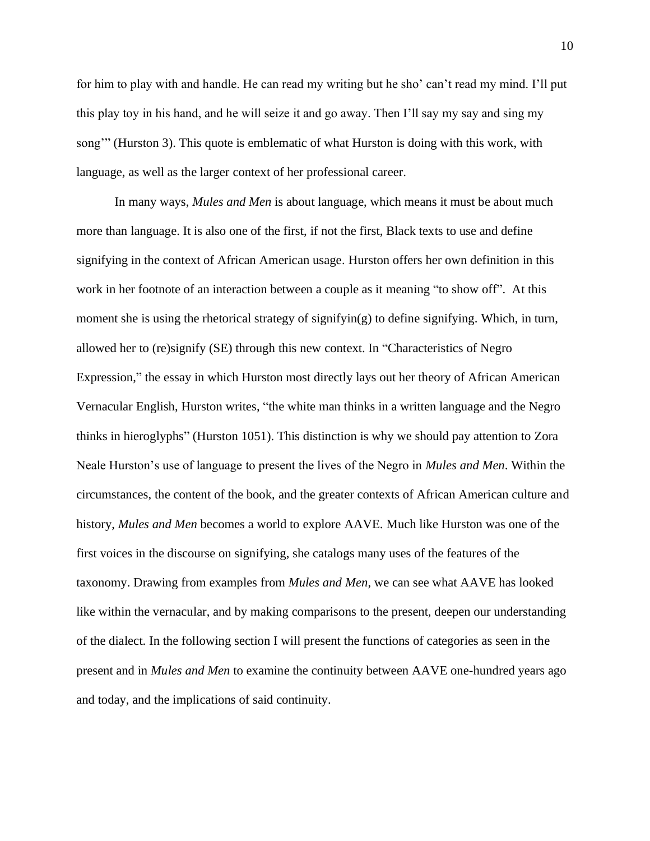for him to play with and handle. He can read my writing but he sho' can't read my mind. I'll put this play toy in his hand, and he will seize it and go away. Then I'll say my say and sing my song'" (Hurston 3). This quote is emblematic of what Hurston is doing with this work, with language, as well as the larger context of her professional career.

In many ways, *Mules and Men* is about language, which means it must be about much more than language. It is also one of the first, if not the first, Black texts to use and define signifying in the context of African American usage. Hurston offers her own definition in this work in her footnote of an interaction between a couple as it meaning "to show off". At this moment she is using the rhetorical strategy of signifyin(g) to define signifying. Which, in turn, allowed her to (re)signify (SE) through this new context. In "Characteristics of Negro Expression," the essay in which Hurston most directly lays out her theory of African American Vernacular English, Hurston writes, "the white man thinks in a written language and the Negro thinks in hieroglyphs" (Hurston 1051). This distinction is why we should pay attention to Zora Neale Hurston's use of language to present the lives of the Negro in *Mules and Men*. Within the circumstances, the content of the book, and the greater contexts of African American culture and history, *Mules and Men* becomes a world to explore AAVE. Much like Hurston was one of the first voices in the discourse on signifying, she catalogs many uses of the features of the taxonomy. Drawing from examples from *Mules and Men*, we can see what AAVE has looked like within the vernacular, and by making comparisons to the present, deepen our understanding of the dialect. In the following section I will present the functions of categories as seen in the present and in *Mules and Men* to examine the continuity between AAVE one-hundred years ago and today, and the implications of said continuity.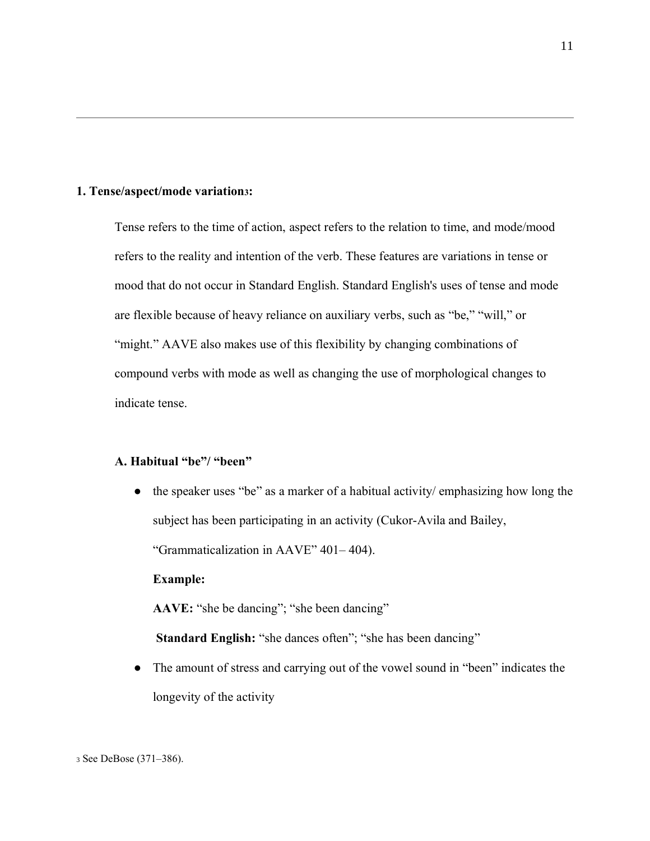## **1. Tense/aspect/mode variation3:**

Tense refers to the time of action, aspect refers to the relation to time, and mode/mood refers to the reality and intention of the verb. These features are variations in tense or mood that do not occur in Standard English. Standard English's uses of tense and mode are flexible because of heavy reliance on auxiliary verbs, such as "be," "will," or "might." AAVE also makes use of this flexibility by changing combinations of compound verbs with mode as well as changing the use of morphological changes to indicate tense.

# **A. Habitual "be"/ "been"**

● the speaker uses "be" as a marker of a habitual activity/ emphasizing how long the subject has been participating in an activity (Cukor-Avila and Bailey, "Grammaticalization in AAVE" 401– 404).

**Example:**

**AAVE:** "she be dancing"; "she been dancing"

**Standard English:** "she dances often"; "she has been dancing"

● The amount of stress and carrying out of the vowel sound in "been" indicates the longevity of the activity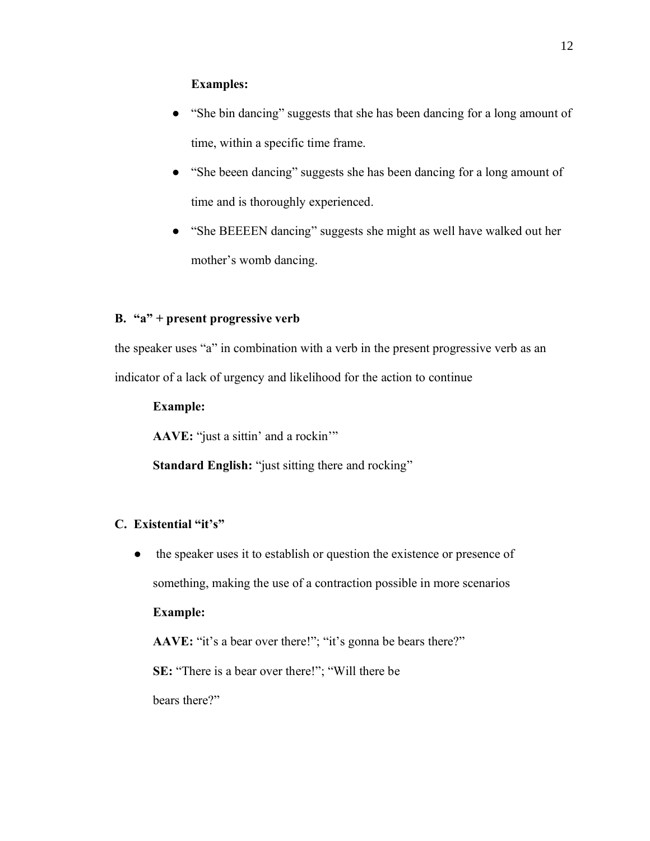# **Examples:**

- "She bin dancing" suggests that she has been dancing for a long amount of time, within a specific time frame.
- "She beeen dancing" suggests she has been dancing for a long amount of time and is thoroughly experienced.
- "She BEEEEN dancing" suggests she might as well have walked out her mother's womb dancing.

# **B. "a" + present progressive verb**

the speaker uses "a" in combination with a verb in the present progressive verb as an indicator of a lack of urgency and likelihood for the action to continue

## **Example:**

**AAVE:** "just a sittin' and a rockin'"

**Standard English:** "just sitting there and rocking"

# **C. Existential "it's"**

• the speaker uses it to establish or question the existence or presence of something, making the use of a contraction possible in more scenarios

# **Example:**

**AAVE:** "it's a bear over there!"; "it's gonna be bears there?"

**SE:** "There is a bear over there!"; "Will there be

bears there?"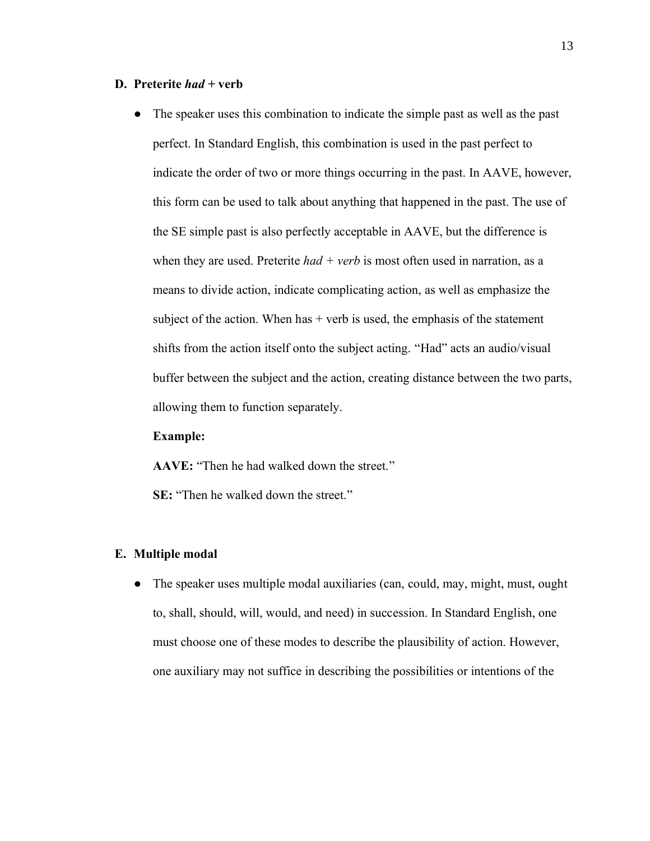## **D. Preterite** *had +* **verb**

● The speaker uses this combination to indicate the simple past as well as the past perfect. In Standard English, this combination is used in the past perfect to indicate the order of two or more things occurring in the past. In AAVE, however, this form can be used to talk about anything that happened in the past. The use of the SE simple past is also perfectly acceptable in AAVE, but the difference is when they are used. Preterite *had* + *verb* is most often used in narration, as a means to divide action, indicate complicating action, as well as emphasize the subject of the action. When has  $+$  verb is used, the emphasis of the statement shifts from the action itself onto the subject acting. "Had" acts an audio/visual buffer between the subject and the action, creating distance between the two parts, allowing them to function separately.

### **Example:**

**AAVE:** "Then he had walked down the street."

**SE:** "Then he walked down the street."

### **E. Multiple modal**

● The speaker uses multiple modal auxiliaries (can, could, may, might, must, ought to, shall, should, will, would, and need) in succession. In Standard English, one must choose one of these modes to describe the plausibility of action. However, one auxiliary may not suffice in describing the possibilities or intentions of the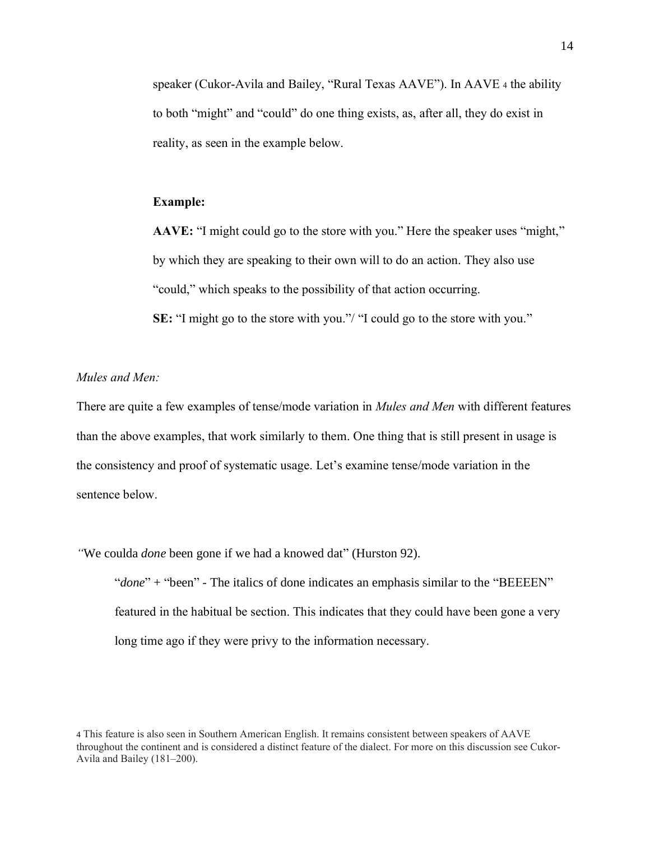speaker (Cukor-Avila and Bailey, "Rural Texas AAVE"). In AAVE <sup>4</sup> the ability to both "might" and "could" do one thing exists, as, after all, they do exist in reality, as seen in the example below.

## **Example:**

**AAVE:** "I might could go to the store with you." Here the speaker uses "might," by which they are speaking to their own will to do an action. They also use "could," which speaks to the possibility of that action occurring. **SE:** "I might go to the store with you."/ "I could go to the store with you."

## *Mules and Men:*

There are quite a few examples of tense/mode variation in *Mules and Men* with different features than the above examples, that work similarly to them. One thing that is still present in usage is the consistency and proof of systematic usage. Let's examine tense/mode variation in the sentence below.

*"*We coulda *done* been gone if we had a knowed dat" (Hurston 92).

"done" + "been" - The italics of done indicates an emphasis similar to the "BEEEEN" featured in the habitual be section. This indicates that they could have been gone a very long time ago if they were privy to the information necessary.

4 This feature is also seen in Southern American English. It remains consistent between speakers of AAVE throughout the continent and is considered a distinct feature of the dialect. For more on this discussion see Cukor-Avila and Bailey (181–200).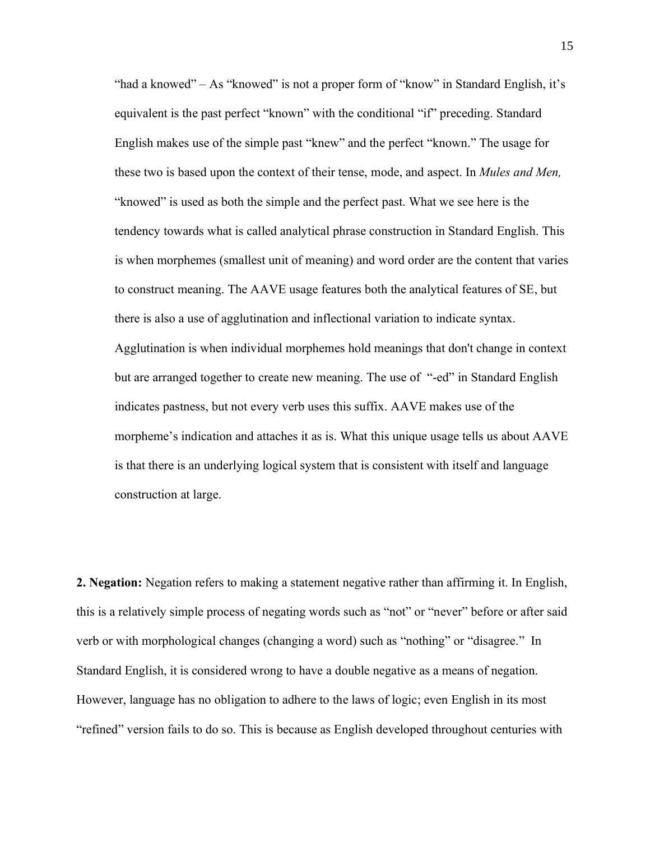"had a knowed" – As "knowed" is not a proper form of "know" in Standard English, it's equivalent is the past perfect "known" with the conditional "if" preceding. Standard English makes use of the simple past "knew" and the perfect "known." The usage for these two is based upon the context of their tense, mode, and aspect. In *Mules and Men,* "knowed" is used as both the simple and the perfect past. What we see here is the tendency towards what is called analytical phrase construction in Standard English. This is when morphemes (smallest unit of meaning) and word order are the content that varies to construct meaning. The AAVE usage features both the analytical features of SE, but there is also a use of agglutination and inflectional variation to indicate syntax. Agglutination is when individual morphemes hold meanings that don't change in context but are arranged together to create new meaning. The use of "-ed" in Standard English indicates pastness, but not every verb uses this suffix. AAVE makes use of the morpheme's indication and attaches it as is. What this unique usage tells us about AAVE is that there is an underlying logical system that is consistent with itself and language construction at large.

**2. Negation:** Negation refers to making a statement negative rather than affirming it. In English, this is a relatively simple process of negating words such as "not" or "never" before or after said verb or with morphological changes (changing a word) such as "nothing" or "disagree." In Standard English, it is considered wrong to have a double negative as a means of negation. However, language has no obligation to adhere to the laws of logic; even English in its most "refined" version fails to do so. This is because as English developed throughout centuries with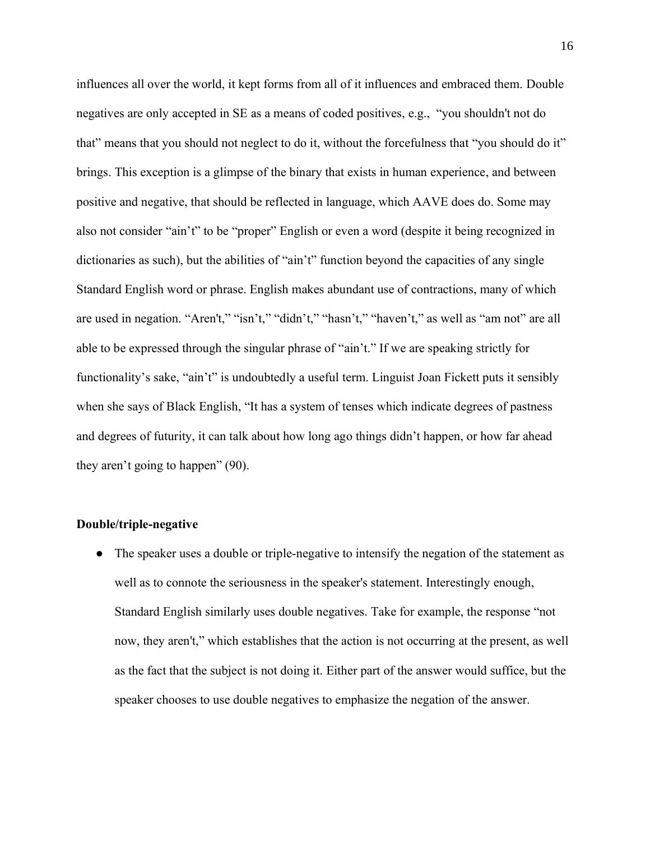influences all over the world, it kept forms from all of it influences and embraced them. Double negatives are only accepted in SE as a means of coded positives, e.g., "you shouldn't not do that" means that you should not neglect to do it, without the forcefulness that "you should do it" brings. This exception is a glimpse of the binary that exists in human experience, and between positive and negative, that should be reflected in language, which AAVE does do. Some may also not consider "ain't" to be "proper" English or even a word (despite it being recognized in dictionaries as such), but the abilities of "ain't" function beyond the capacities of any single Standard English word or phrase. English makes abundant use of contractions, many of which are used in negation. "Aren't," "isn't," "didn't," "hasn't," "haven't," as well as "am not" are all able to be expressed through the singular phrase of "ain't." If we are speaking strictly for functionality's sake, "ain't" is undoubtedly a useful term. Linguist Joan Fickett puts it sensibly when she says of Black English, "It has a system of tenses which indicate degrees of pastness and degrees of futurity, it can talk about how long ago things didn't happen, or how far ahead they aren't going to happen" (90).

#### **Double/triple-negative**

• The speaker uses a double or triple-negative to intensify the negation of the statement as well as to connote the seriousness in the speaker's statement. Interestingly enough, Standard English similarly uses double negatives. Take for example, the response "not now, they aren't," which establishes that the action is not occurring at the present, as well as the fact that the subject is not doing it. Either part of the answer would suffice, but the speaker chooses to use double negatives to emphasize the negation of the answer.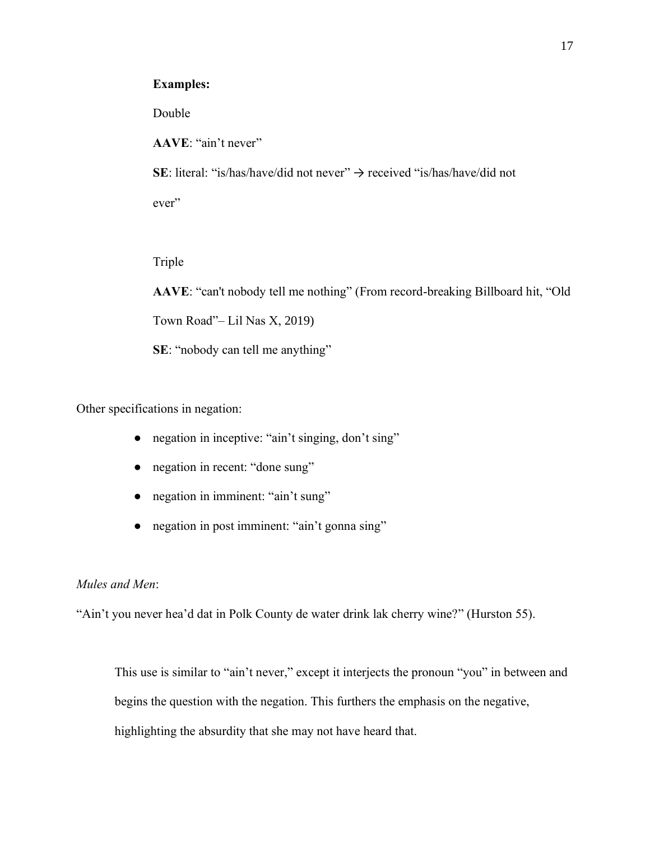## **Examples:**

Double

**AAVE**: "ain't never"

SE: literal: "is/has/have/did not never" → received "is/has/have/did not

ever"

Triple

**AAVE**: "can't nobody tell me nothing" (From record-breaking Billboard hit, "Old Town Road"– Lil Nas X, 2019) **SE**: "nobody can tell me anything"

Other specifications in negation:

- negation in inceptive: "ain't singing, don't sing"
- negation in recent: "done sung"
- negation in imminent: "ain't sung"
- negation in post imminent: "ain't gonna sing"

# *Mules and Men*:

"Ain't you never hea'd dat in Polk County de water drink lak cherry wine?" (Hurston 55).

This use is similar to "ain't never," except it interjects the pronoun "you" in between and begins the question with the negation. This furthers the emphasis on the negative, highlighting the absurdity that she may not have heard that.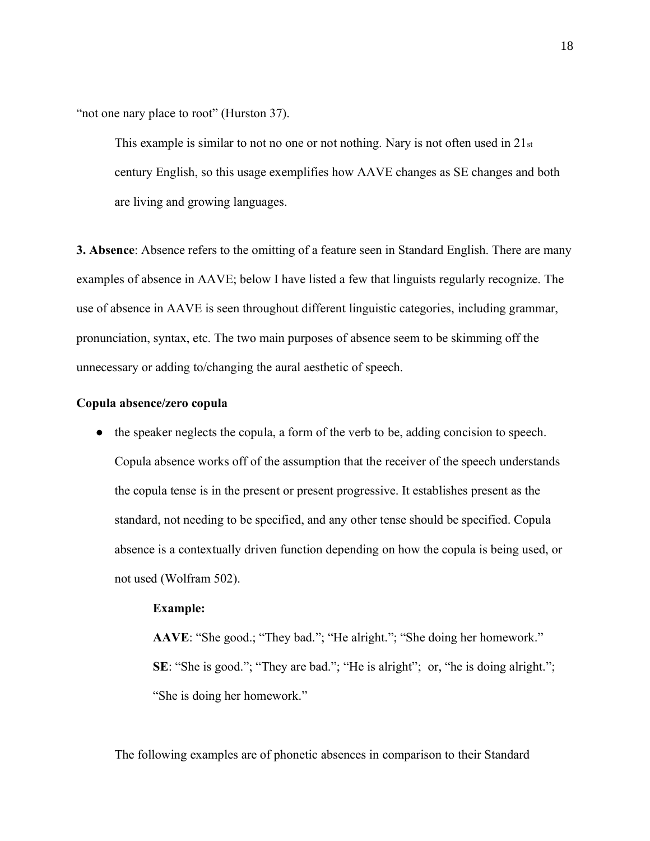"not one nary place to root" (Hurston 37).

This example is similar to not no one or not nothing. Nary is not often used in  $21<sub>st</sub>$ century English, so this usage exemplifies how AAVE changes as SE changes and both are living and growing languages.

**3. Absence**: Absence refers to the omitting of a feature seen in Standard English. There are many examples of absence in AAVE; below I have listed a few that linguists regularly recognize. The use of absence in AAVE is seen throughout different linguistic categories, including grammar, pronunciation, syntax, etc. The two main purposes of absence seem to be skimming off the unnecessary or adding to/changing the aural aesthetic of speech.

## **Copula absence/zero copula**

● the speaker neglects the copula, a form of the verb to be, adding concision to speech. Copula absence works off of the assumption that the receiver of the speech understands the copula tense is in the present or present progressive. It establishes present as the standard, not needing to be specified, and any other tense should be specified. Copula absence is a contextually driven function depending on how the copula is being used, or not used (Wolfram 502).

## **Example:**

**AAVE**: "She good.; "They bad."; "He alright."; "She doing her homework." **SE:** "She is good."; "They are bad."; "He is alright"; or, "he is doing alright."; "She is doing her homework."

The following examples are of phonetic absences in comparison to their Standard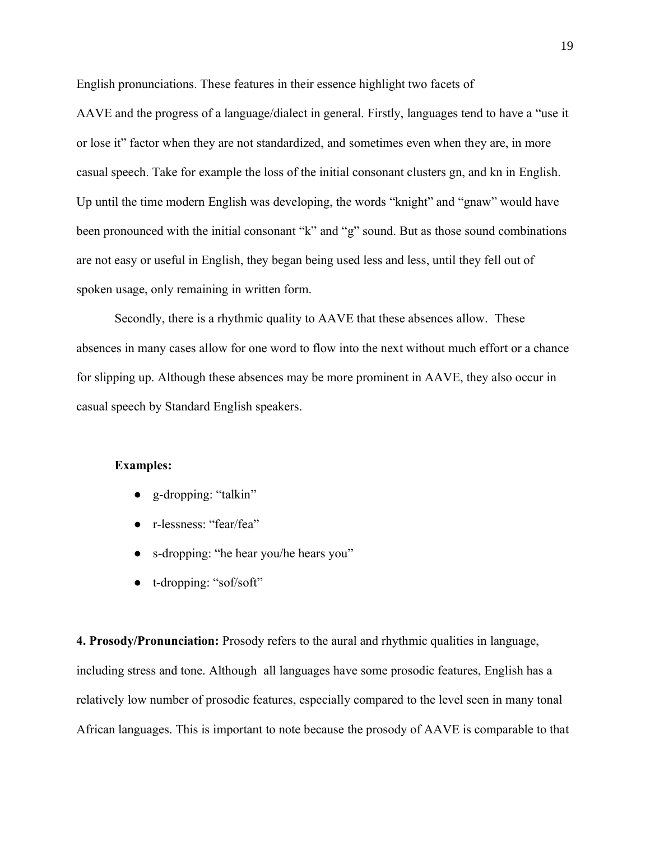English pronunciations. These features in their essence highlight two facets of

AAVE and the progress of a language/dialect in general. Firstly, languages tend to have a "use it or lose it" factor when they are not standardized, and sometimes even when they are, in more casual speech. Take for example the loss of the initial consonant clusters gn, and kn in English. Up until the time modern English was developing, the words "knight" and "gnaw" would have been pronounced with the initial consonant "k" and "g" sound. But as those sound combinations are not easy or useful in English, they began being used less and less, until they fell out of spoken usage, only remaining in written form.

Secondly, there is a rhythmic quality to AAVE that these absences allow. These absences in many cases allow for one word to flow into the next without much effort or a chance for slipping up. Although these absences may be more prominent in AAVE, they also occur in casual speech by Standard English speakers.

## **Examples:**

- g-dropping: "talkin"
- r-lessness: "fear/fea"
- s-dropping: "he hear you/he hears you"
- t-dropping: "sof/soft"

**4. Prosody/Pronunciation:** Prosody refers to the aural and rhythmic qualities in language, including stress and tone. Although all languages have some prosodic features, English has a relatively low number of prosodic features, especially compared to the level seen in many tonal African languages. This is important to note because the prosody of AAVE is comparable to that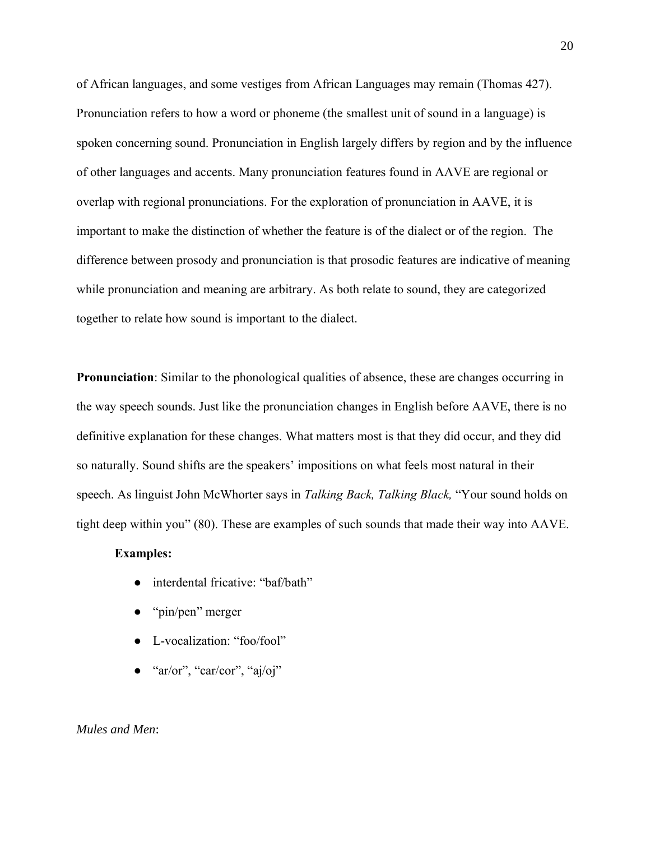of African languages, and some vestiges from African Languages may remain (Thomas 427). Pronunciation refers to how a word or phoneme (the smallest unit of sound in a language) is spoken concerning sound. Pronunciation in English largely differs by region and by the influence of other languages and accents. Many pronunciation features found in AAVE are regional or overlap with regional pronunciations. For the exploration of pronunciation in AAVE, it is important to make the distinction of whether the feature is of the dialect or of the region. The difference between prosody and pronunciation is that prosodic features are indicative of meaning while pronunciation and meaning are arbitrary. As both relate to sound, they are categorized together to relate how sound is important to the dialect.

**Pronunciation**: Similar to the phonological qualities of absence, these are changes occurring in the way speech sounds. Just like the pronunciation changes in English before AAVE, there is no definitive explanation for these changes. What matters most is that they did occur, and they did so naturally. Sound shifts are the speakers' impositions on what feels most natural in their speech. As linguist John McWhorter says in *Talking Back, Talking Black,* "Your sound holds on tight deep within you" (80). These are examples of such sounds that made their way into AAVE.

#### **Examples:**

- interdental fricative: "baf/bath"
- "pin/pen" merger
- L-vocalization: "foo/fool"
- "ar/or", "car/cor", "aj/oj"

## *Mules and Men*: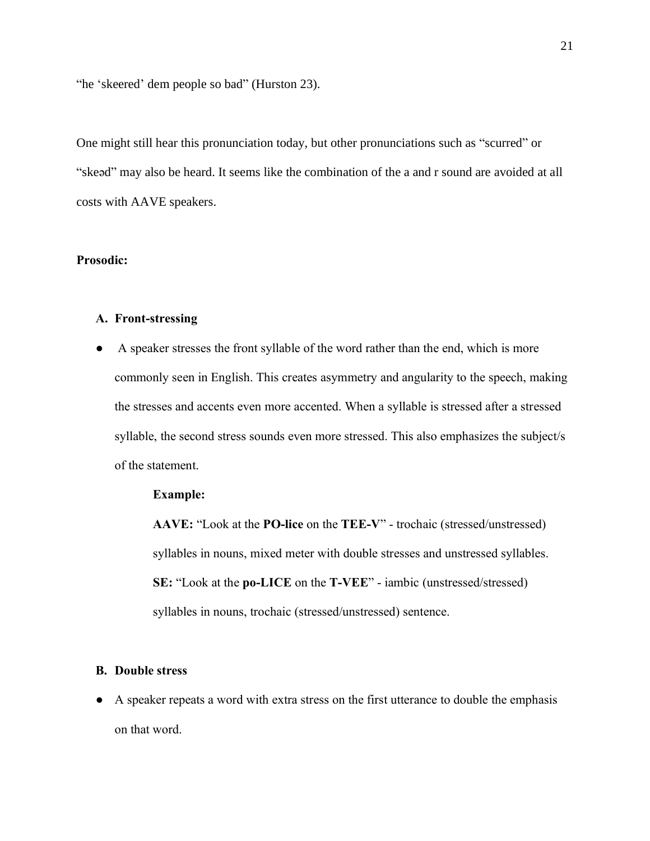"he 'skeered' dem people so bad" (Hurston 23).

One might still hear this pronunciation today, but other pronunciations such as "scurred" or "skeəd" may also be heard. It seems like the combination of the a and r sound are avoided at all costs with AAVE speakers.

# **Prosodic:**

## **A. Front-stressing**

● A speaker stresses the front syllable of the word rather than the end, which is more commonly seen in English. This creates asymmetry and angularity to the speech, making the stresses and accents even more accented. When a syllable is stressed after a stressed syllable, the second stress sounds even more stressed. This also emphasizes the subject/s of the statement.

## **Example:**

**AAVE:** "Look at the **PO-lice** on the **TEE-V**" - trochaic (stressed/unstressed) syllables in nouns, mixed meter with double stresses and unstressed syllables. **SE:** "Look at the **po-LICE** on the **T-VEE**" - iambic (unstressed/stressed) syllables in nouns, trochaic (stressed/unstressed) sentence.

#### **B. Double stress**

● A speaker repeats a word with extra stress on the first utterance to double the emphasis on that word.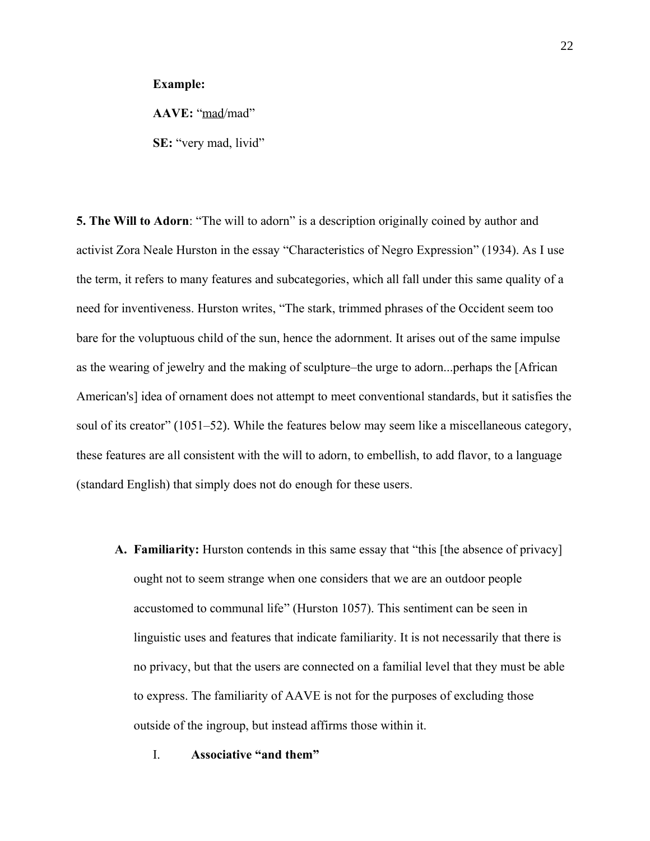#### **Example:**

**AAVE:** "mad/mad"

**SE:** "very mad, livid"

**5. The Will to Adorn**: "The will to adorn" is a description originally coined by author and activist Zora Neale Hurston in the essay "Characteristics of Negro Expression" (1934). As I use the term, it refers to many features and subcategories, which all fall under this same quality of a need for inventiveness. Hurston writes, "The stark, trimmed phrases of the Occident seem too bare for the voluptuous child of the sun, hence the adornment. It arises out of the same impulse as the wearing of jewelry and the making of sculpture–the urge to adorn...perhaps the [African American's] idea of ornament does not attempt to meet conventional standards, but it satisfies the soul of its creator" (1051–52). While the features below may seem like a miscellaneous category, these features are all consistent with the will to adorn, to embellish, to add flavor, to a language (standard English) that simply does not do enough for these users.

- **A. Familiarity:** Hurston contends in this same essay that "this [the absence of privacy] ought not to seem strange when one considers that we are an outdoor people accustomed to communal life" (Hurston 1057). This sentiment can be seen in linguistic uses and features that indicate familiarity. It is not necessarily that there is no privacy, but that the users are connected on a familial level that they must be able to express. The familiarity of AAVE is not for the purposes of excluding those outside of the ingroup, but instead affirms those within it.
	- I. **Associative "and them"**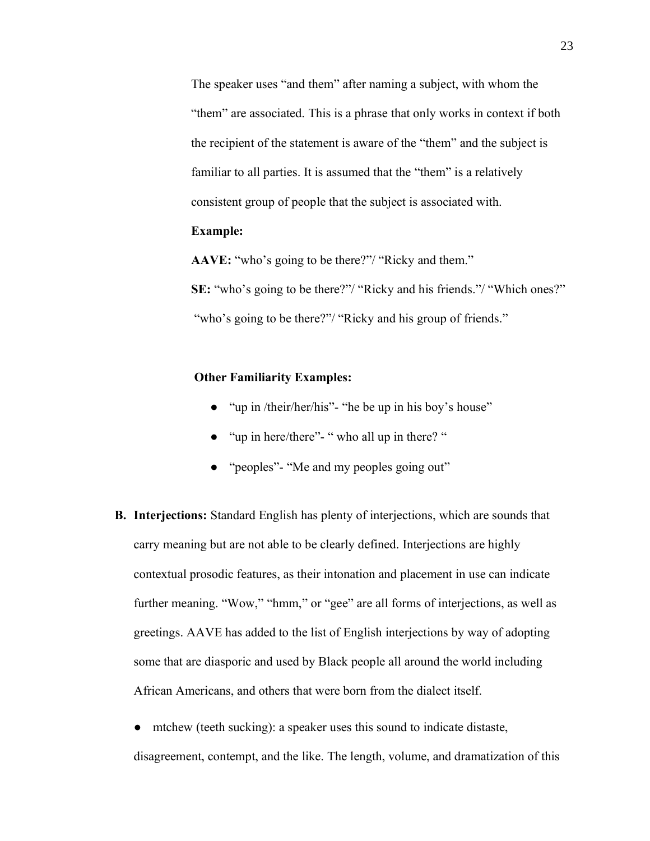The speaker uses "and them" after naming a subject, with whom the "them" are associated. This is a phrase that only works in context if both the recipient of the statement is aware of the "them" and the subject is familiar to all parties. It is assumed that the "them" is a relatively consistent group of people that the subject is associated with.

# **Example:**

**AAVE:** "who's going to be there?"/ "Ricky and them."

**SE:** "who's going to be there?"/ "Ricky and his friends."/ "Which ones?" "who's going to be there?"/ "Ricky and his group of friends."

## **Other Familiarity Examples:**

- "up in /their/her/his"- "he be up in his boy's house"
- "up in here/there"- " who all up in there? "
- "peoples"- "Me and my peoples going out"
- **B. Interjections:** Standard English has plenty of interjections, which are sounds that carry meaning but are not able to be clearly defined. Interjections are highly contextual prosodic features, as their intonation and placement in use can indicate further meaning. "Wow," "hmm," or "gee" are all forms of interjections, as well as greetings. AAVE has added to the list of English interjections by way of adopting some that are diasporic and used by Black people all around the world including African Americans, and others that were born from the dialect itself.
	- mtchew (teeth sucking): a speaker uses this sound to indicate distaste, disagreement, contempt, and the like. The length, volume, and dramatization of this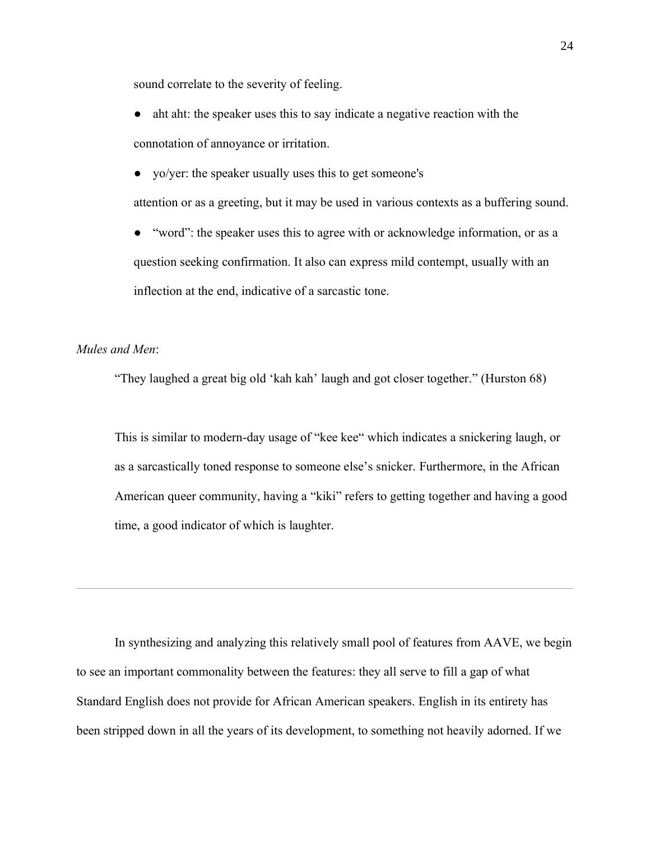sound correlate to the severity of feeling.

- aht aht: the speaker uses this to say indicate a negative reaction with the connotation of annoyance or irritation.
- yo/yer: the speaker usually uses this to get someone's

attention or as a greeting, but it may be used in various contexts as a buffering sound.

"word": the speaker uses this to agree with or acknowledge information, or as a question seeking confirmation. It also can express mild contempt, usually with an inflection at the end, indicative of a sarcastic tone.

# *Mules and Men*:

"They laughed a great big old 'kah kah' laugh and got closer together." (Hurston 68)

This is similar to modern-day usage of "kee kee" which indicates a snickering laugh, or as a sarcastically toned response to someone else's snicker. Furthermore, in the African American queer community, having a "kiki" refers to getting together and having a good time, a good indicator of which is laughter.

In synthesizing and analyzing this relatively small pool of features from AAVE, we begin to see an important commonality between the features: they all serve to fill a gap of what Standard English does not provide for African American speakers. English in its entirety has been stripped down in all the years of its development, to something not heavily adorned. If we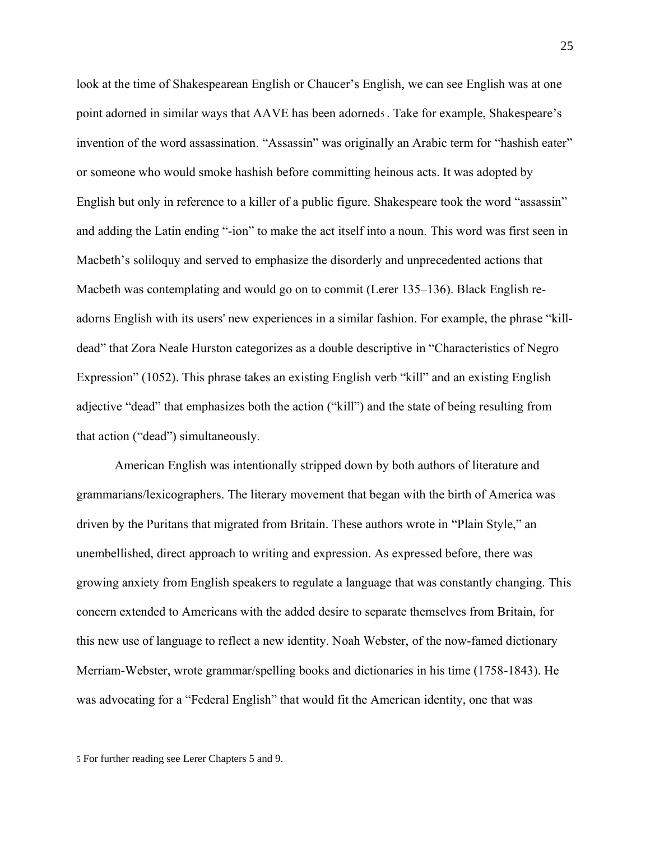look at the time of Shakespearean English or Chaucer's English, we can see English was at one point adorned in similar ways that AAVE has been adorned<sup>5</sup> . Take for example, Shakespeare's invention of the word assassination. "Assassin" was originally an Arabic term for "hashish eater" or someone who would smoke hashish before committing heinous acts. It was adopted by English but only in reference to a killer of a public figure. Shakespeare took the word "assassin" and adding the Latin ending "-ion" to make the act itself into a noun. This word was first seen in Macbeth's soliloquy and served to emphasize the disorderly and unprecedented actions that Macbeth was contemplating and would go on to commit (Lerer 135–136). Black English readorns English with its users' new experiences in a similar fashion. For example, the phrase "killdead" that Zora Neale Hurston categorizes as a double descriptive in "Characteristics of Negro Expression" (1052). This phrase takes an existing English verb "kill" and an existing English adjective "dead" that emphasizes both the action ("kill") and the state of being resulting from that action ("dead") simultaneously.

American English was intentionally stripped down by both authors of literature and grammarians/lexicographers. The literary movement that began with the birth of America was driven by the Puritans that migrated from Britain. These authors wrote in "Plain Style," an unembellished, direct approach to writing and expression. As expressed before, there was growing anxiety from English speakers to regulate a language that was constantly changing. This concern extended to Americans with the added desire to separate themselves from Britain, for this new use of language to reflect a new identity. Noah Webster, of the now-famed dictionary Merriam-Webster, wrote grammar/spelling books and dictionaries in his time (1758-1843). He was advocating for a "Federal English" that would fit the American identity, one that was

<sup>5</sup> For further reading see Lerer Chapters 5 and 9.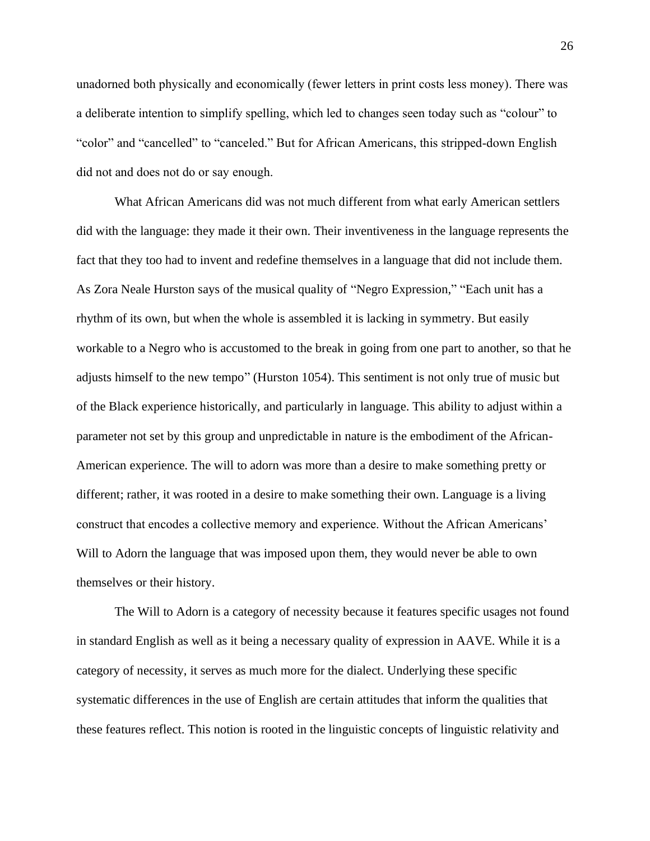unadorned both physically and economically (fewer letters in print costs less money). There was a deliberate intention to simplify spelling, which led to changes seen today such as "colour" to "color" and "cancelled" to "canceled." But for African Americans, this stripped-down English did not and does not do or say enough.

What African Americans did was not much different from what early American settlers did with the language: they made it their own. Their inventiveness in the language represents the fact that they too had to invent and redefine themselves in a language that did not include them. As Zora Neale Hurston says of the musical quality of "Negro Expression," "Each unit has a rhythm of its own, but when the whole is assembled it is lacking in symmetry. But easily workable to a Negro who is accustomed to the break in going from one part to another, so that he adjusts himself to the new tempo" (Hurston 1054). This sentiment is not only true of music but of the Black experience historically, and particularly in language. This ability to adjust within a parameter not set by this group and unpredictable in nature is the embodiment of the African-American experience. The will to adorn was more than a desire to make something pretty or different; rather, it was rooted in a desire to make something their own. Language is a living construct that encodes a collective memory and experience. Without the African Americans' Will to Adorn the language that was imposed upon them, they would never be able to own themselves or their history.

The Will to Adorn is a category of necessity because it features specific usages not found in standard English as well as it being a necessary quality of expression in AAVE. While it is a category of necessity, it serves as much more for the dialect. Underlying these specific systematic differences in the use of English are certain attitudes that inform the qualities that these features reflect. This notion is rooted in the linguistic concepts of linguistic relativity and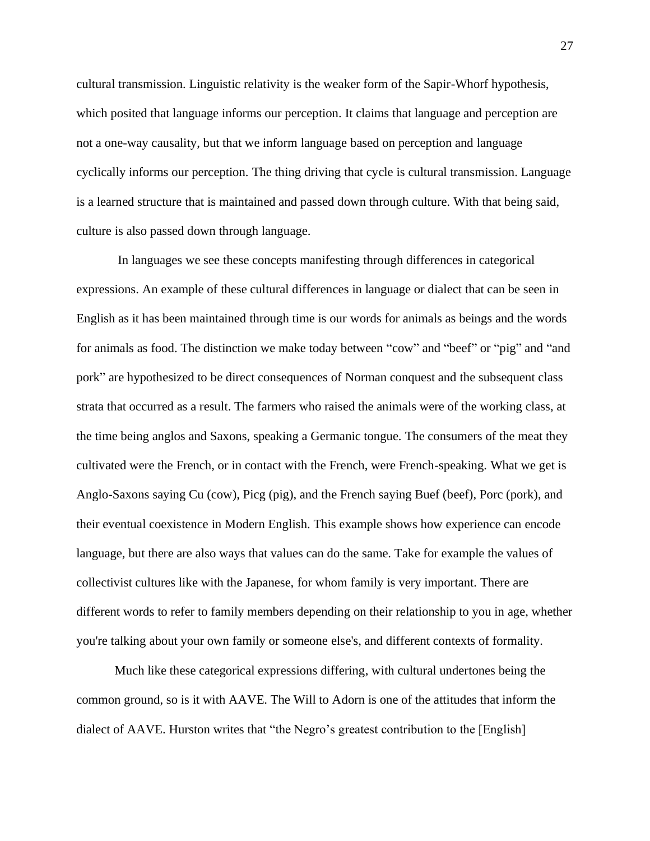cultural transmission. Linguistic relativity is the weaker form of the Sapir-Whorf hypothesis, which posited that language informs our perception. It claims that language and perception are not a one-way causality, but that we inform language based on perception and language cyclically informs our perception. The thing driving that cycle is cultural transmission. Language is a learned structure that is maintained and passed down through culture. With that being said, culture is also passed down through language.

In languages we see these concepts manifesting through differences in categorical expressions. An example of these cultural differences in language or dialect that can be seen in English as it has been maintained through time is our words for animals as beings and the words for animals as food. The distinction we make today between "cow" and "beef" or "pig" and "and pork" are hypothesized to be direct consequences of Norman conquest and the subsequent class strata that occurred as a result. The farmers who raised the animals were of the working class, at the time being anglos and Saxons, speaking a Germanic tongue. The consumers of the meat they cultivated were the French, or in contact with the French, were French-speaking. What we get is Anglo-Saxons saying Cu (cow), Picg (pig), and the French saying Buef (beef), Porc (pork), and their eventual coexistence in Modern English. This example shows how experience can encode language, but there are also ways that values can do the same. Take for example the values of collectivist cultures like with the Japanese, for whom family is very important. There are different words to refer to family members depending on their relationship to you in age, whether you're talking about your own family or someone else's, and different contexts of formality.

Much like these categorical expressions differing, with cultural undertones being the common ground, so is it with AAVE. The Will to Adorn is one of the attitudes that inform the dialect of AAVE. Hurston writes that "the Negro's greatest contribution to the [English]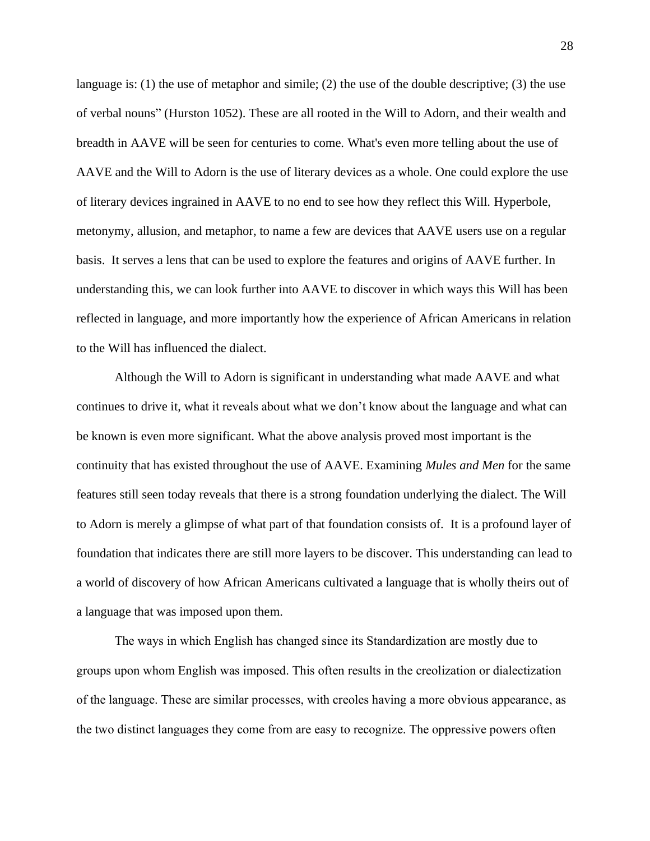language is: (1) the use of metaphor and simile; (2) the use of the double descriptive; (3) the use of verbal nouns" (Hurston 1052). These are all rooted in the Will to Adorn, and their wealth and breadth in AAVE will be seen for centuries to come. What's even more telling about the use of AAVE and the Will to Adorn is the use of literary devices as a whole. One could explore the use of literary devices ingrained in AAVE to no end to see how they reflect this Will. Hyperbole, metonymy, allusion, and metaphor, to name a few are devices that AAVE users use on a regular basis. It serves a lens that can be used to explore the features and origins of AAVE further. In understanding this, we can look further into AAVE to discover in which ways this Will has been reflected in language, and more importantly how the experience of African Americans in relation to the Will has influenced the dialect.

Although the Will to Adorn is significant in understanding what made AAVE and what continues to drive it, what it reveals about what we don't know about the language and what can be known is even more significant. What the above analysis proved most important is the continuity that has existed throughout the use of AAVE. Examining *Mules and Men* for the same features still seen today reveals that there is a strong foundation underlying the dialect. The Will to Adorn is merely a glimpse of what part of that foundation consists of. It is a profound layer of foundation that indicates there are still more layers to be discover. This understanding can lead to a world of discovery of how African Americans cultivated a language that is wholly theirs out of a language that was imposed upon them.

The ways in which English has changed since its Standardization are mostly due to groups upon whom English was imposed. This often results in the creolization or dialectization of the language. These are similar processes, with creoles having a more obvious appearance, as the two distinct languages they come from are easy to recognize. The oppressive powers often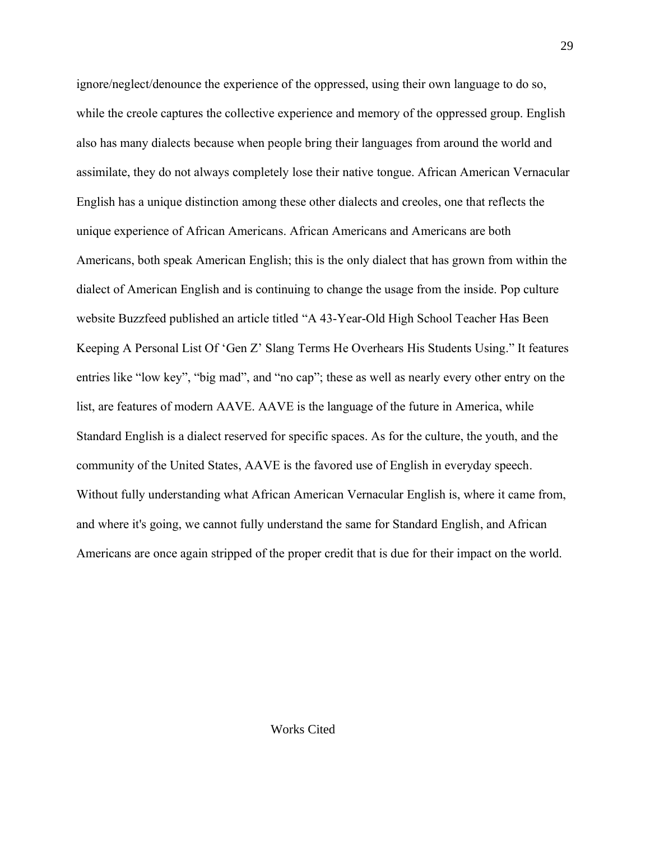ignore/neglect/denounce the experience of the oppressed, using their own language to do so, while the creole captures the collective experience and memory of the oppressed group. English also has many dialects because when people bring their languages from around the world and assimilate, they do not always completely lose their native tongue. African American Vernacular English has a unique distinction among these other dialects and creoles, one that reflects the unique experience of African Americans. African Americans and Americans are both Americans, both speak American English; this is the only dialect that has grown from within the dialect of American English and is continuing to change the usage from the inside. Pop culture website Buzzfeed published an article titled "A 43-Year-Old High School Teacher Has Been Keeping A Personal List Of 'Gen Z' Slang Terms He Overhears His Students Using." It features entries like "low key", "big mad", and "no cap"; these as well as nearly every other entry on the list, are features of modern AAVE. AAVE is the language of the future in America, while Standard English is a dialect reserved for specific spaces. As for the culture, the youth, and the community of the United States, AAVE is the favored use of English in everyday speech. Without fully understanding what African American Vernacular English is, where it came from, and where it's going, we cannot fully understand the same for Standard English, and African Americans are once again stripped of the proper credit that is due for their impact on the world.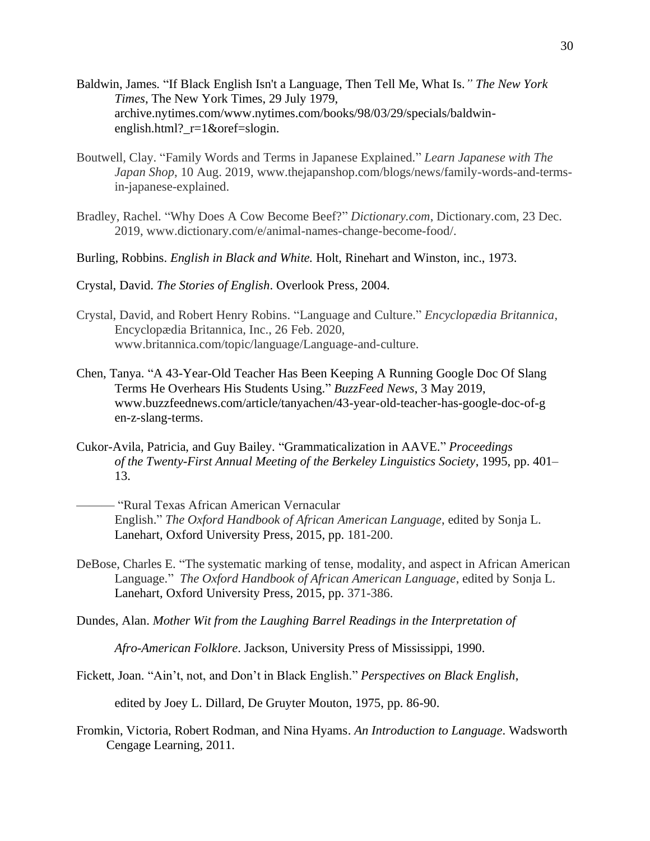- Baldwin, James*.* "If Black English Isn't a Language, Then Tell Me, What Is*." The New York Times*, The New York Times, 29 July 1979, archive.nytimes.com/www.nytimes.com/books/98/03/29/specials/baldwinenglish.html?\_r=1&oref=slogin.
- Boutwell, Clay. "Family Words and Terms in Japanese Explained." *Learn Japanese with The Japan Shop*, 10 Aug. 2019, www.thejapanshop.com/blogs/news/family-words-and-termsin-japanese-explained.
- Bradley, Rachel. "Why Does A Cow Become Beef?" *Dictionary.com*, Dictionary.com, 23 Dec. 2019, www.dictionary.com/e/animal-names-change-become-food/.
- Burling, Robbins. *English in Black and White.* Holt, Rinehart and Winston, inc., 1973.
- Crystal, David. *The Stories of English*. Overlook Press, 2004.
- Crystal, David, and Robert Henry Robins. "Language and Culture." *Encyclopædia Britannica*, Encyclopædia Britannica, Inc., 26 Feb. 2020, www.britannica.com/topic/language/Language-and-culture.
- Chen, Tanya. "A 43-Year-Old Teacher Has Been Keeping A Running Google Doc Of Slang Terms He Overhears His Students Using." *BuzzFeed News*, 3 May 2019, www.buzzfeednews.com/article/tanyachen/43-year-old-teacher-has-google-doc-of-g en-z-slang-terms.
- Cukor-Avila, Patricia, and Guy Bailey. "Grammaticalization in AAVE." *Proceedings of the Twenty-First Annual Meeting of the Berkeley Linguistics Society*, 1995, pp. 401– 13.
	- ——— "Rural Texas African American Vernacular English." *The Oxford Handbook of African American Language*, edited by Sonja L. Lanehart, Oxford University Press, 2015, pp. 181-200.
- DeBose, Charles E. "The systematic marking of tense, modality, and aspect in African American Language." *The Oxford Handbook of African American Language*, edited by Sonja L. Lanehart, Oxford University Press, 2015, pp. 371-386.
- Dundes, Alan. *Mother Wit from the Laughing Barrel Readings in the Interpretation of*

*Afro-American Folklore*. Jackson, University Press of Mississippi, 1990.

Fickett, Joan. "Ain't, not, and Don't in Black English." *Perspectives on Black English*,

edited by Joey L. Dillard, De Gruyter Mouton, 1975, pp. 86-90.

Fromkin, Victoria, Robert Rodman, and Nina Hyams. *An Introduction to Language*. Wadsworth Cengage Learning, 2011.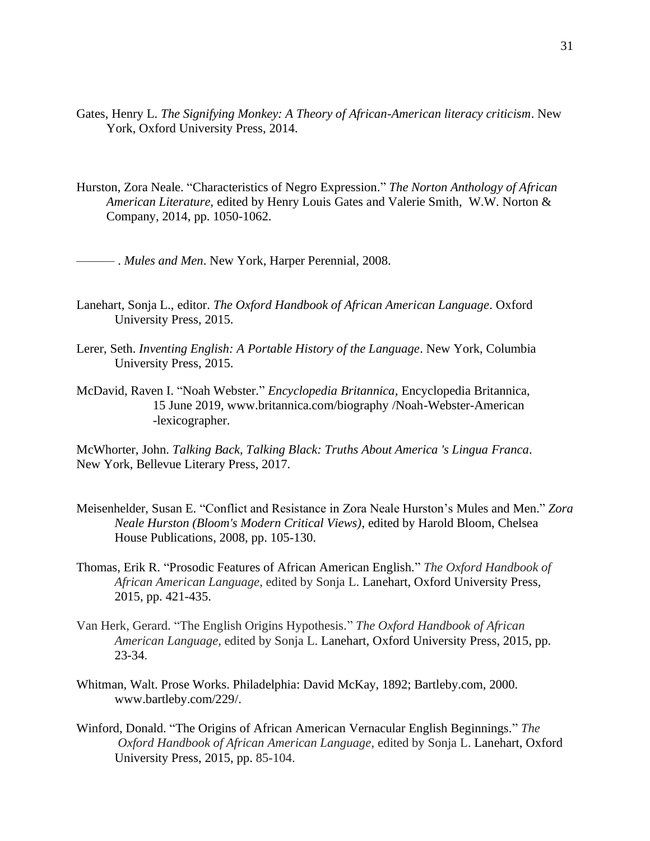- Gates, Henry L. *The Signifying Monkey: A Theory of African-American literacy criticism*. New York, Oxford University Press, 2014.
- Hurston, Zora Neale. "Characteristics of Negro Expression." *The Norton Anthology of African American Literature,* edited by Henry Louis Gates and Valerie Smith, W.W. Norton & Company, 2014, pp. 1050-1062.

——— . *Mules and Men*. New York, Harper Perennial, 2008.

- Lanehart, Sonja L., editor. *The Oxford Handbook of African American Language*. Oxford University Press, 2015.
- Lerer, Seth. *Inventing English: A Portable History of the Language*. New York, Columbia University Press, 2015.
- McDavid, Raven I. "Noah Webster." *Encyclopedia Britannica*, Encyclopedia Britannica, 15 June 2019, www.britannica.com/biography /Noah-Webster-American -lexicographer.

McWhorter, John. *Talking Back, Talking Black: Truths About America 's Lingua Franca*. New York, Bellevue Literary Press, 2017.

- Meisenhelder, Susan E. "Conflict and Resistance in Zora Neale Hurston's Mules and Men." *Zora Neale Hurston (Bloom's Modern Critical Views)*, edited by Harold Bloom, Chelsea House Publications, 2008, pp. 105-130.
- Thomas, Erik R. "Prosodic Features of African American English." *The Oxford Handbook of African American Language*, edited by Sonja L. Lanehart, Oxford University Press, 2015, pp. 421-435.
- Van Herk, Gerard. "The English Origins Hypothesis." *The Oxford Handbook of African American Language*, edited by Sonja L. Lanehart, Oxford University Press, 2015, pp. 23-34.
- Whitman, Walt. Prose Works. Philadelphia: David McKay, 1892; Bartleby.com, 2000. www.bartleby.com/229/.
- Winford, Donald. "The Origins of African American Vernacular English Beginnings." *The Oxford Handbook of African American Language*, edited by Sonja L. Lanehart, Oxford University Press, 2015, pp. 85-104.